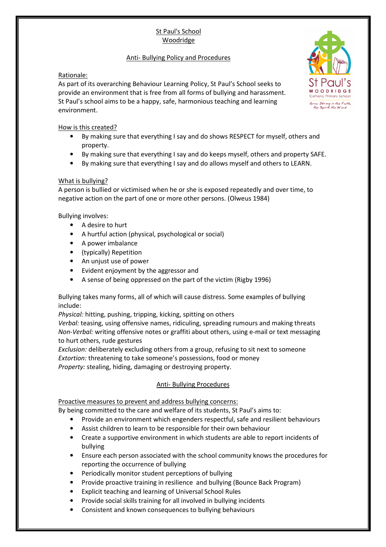# St Paul's School Woodridge

## Anti- Bullying Policy and Procedures

## Rationale:

As part of its overarching Behaviour Learning Policy, St Paul's School seeks to provide an environment that is free from all forms of bullying and harassment. St Paul's school aims to be a happy, safe, harmonious teaching and learning environment.

### How is this created?

- By making sure that everything I say and do shows RESPECT for myself, others and property.
- By making sure that everything I say and do keeps myself, others and property SAFE.
- By making sure that everything I say and do allows myself and others to LEARN.

### What is bullying?

A person is bullied or victimised when he or she is exposed repeatedly and over time, to negative action on the part of one or more other persons. (Olweus 1984)

Bullying involves:

- A desire to hurt
- A hurtful action (physical, psychological or social)
- A power imbalance
- (typically) Repetition
- An unjust use of power
- Evident enjoyment by the aggressor and
- A sense of being oppressed on the part of the victim (Rigby 1996)

Bullying takes many forms, all of which will cause distress. Some examples of bullying include:

*Physical:* hitting, pushing, tripping, kicking, spitting on others

*Verbal:* teasing, using offensive names, ridiculing, spreading rumours and making threats *Non-Verbal:* writing offensive notes or graffiti about others, using e-mail or text messaging to hurt others, rude gestures

*Exclusion:* deliberately excluding others from a group, refusing to sit next to someone *Extortion:* threatening to take someone's possessions, food or money *Property:* stealing, hiding, damaging or destroying property.

# Anti- Bullying Procedures

# Proactive measures to prevent and address bullying concerns:

By being committed to the care and welfare of its students, St Paul's aims to:

- Provide an environment which engenders respectful, safe and resilient behaviours
- Assist children to learn to be responsible for their own behaviour
- Create a supportive environment in which students are able to report incidents of bullying
- Ensure each person associated with the school community knows the procedures for reporting the occurrence of bullying
- Periodically monitor student perceptions of bullying
- Provide proactive training in resilience and bullying (Bounce Back Program)
- Explicit teaching and learning of Universal School Rules
- Provide social skills training for all involved in bullying incidents
- Consistent and known consequences to bullying behaviours